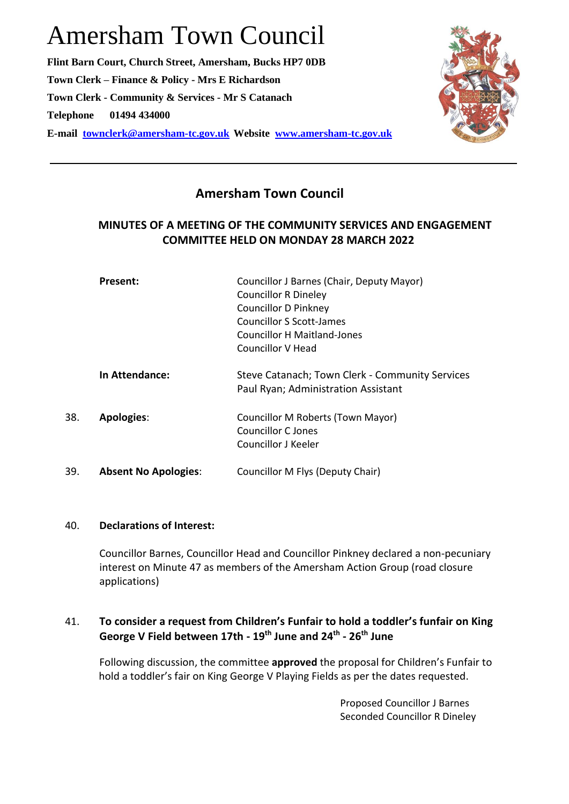# Amersham Town Council

**Flint Barn Court, Church Street, Amersham, Bucks HP7 0DB Town Clerk – Finance & Policy - Mrs E Richardson Town Clerk - Community & Services - Mr S Catanach Telephone 01494 434000 E-mail [townclerk@amersham-tc.gov.uk](mailto:townclerk@amersham-tc.gov.uk) Website [www.amersham-tc.gov.uk](http://www.amersham-tc.gov.uk/)**



# **Amersham Town Council**

# **MINUTES OF A MEETING OF THE COMMUNITY SERVICES AND ENGAGEMENT COMMITTEE HELD ON MONDAY 28 MARCH 2022**

|     | Present:                    | Councillor J Barnes (Chair, Deputy Mayor)       |
|-----|-----------------------------|-------------------------------------------------|
|     |                             | <b>Councillor R Dineley</b>                     |
|     |                             | <b>Councillor D Pinkney</b>                     |
|     |                             | <b>Councillor S Scott-James</b>                 |
|     |                             | <b>Councillor H Maitland-Jones</b>              |
|     |                             | Councillor V Head                               |
|     | <b>In Attendance:</b>       | Steve Catanach; Town Clerk - Community Services |
|     |                             | Paul Ryan; Administration Assistant             |
| 38. | <b>Apologies:</b>           | Councillor M Roberts (Town Mayor)               |
|     |                             | Councillor C Jones                              |
|     |                             | Councillor J Keeler                             |
| 39. | <b>Absent No Apologies:</b> | Councillor M Flys (Deputy Chair)                |
|     |                             |                                                 |

### 40. **Declarations of Interest:**

Councillor Barnes, Councillor Head and Councillor Pinkney declared a non-pecuniary interest on Minute 47 as members of the Amersham Action Group (road closure applications)

# 41. **To consider a request from Children's Funfair to hold a toddler's funfair on King George V Field between 17th - 19th June and 24th - 26th June**

Following discussion, the committee **approved** the proposal for Children's Funfair to hold a toddler's fair on King George V Playing Fields as per the dates requested.

> Proposed Councillor J Barnes Seconded Councillor R Dineley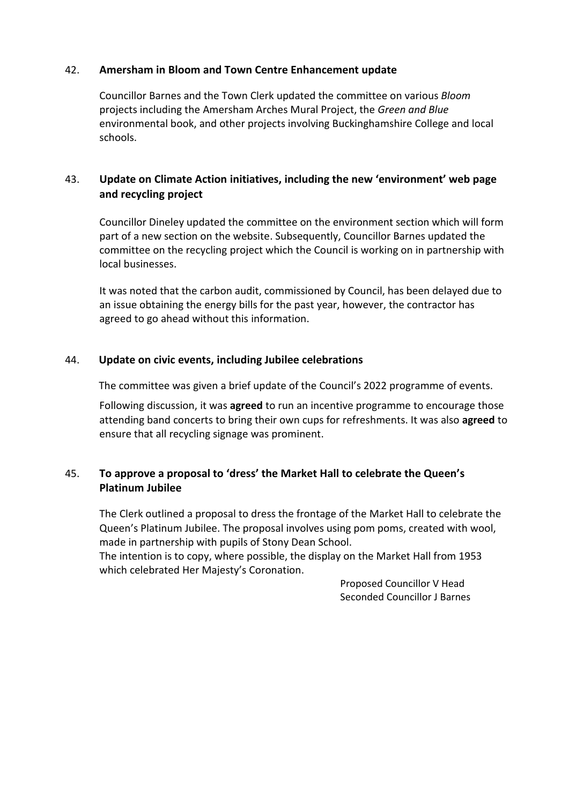#### 42. **Amersham in Bloom and Town Centre Enhancement update**

Councillor Barnes and the Town Clerk updated the committee on various *Bloom* projects including the Amersham Arches Mural Project, the *Green and Blue* environmental book, and other projects involving Buckinghamshire College and local schools.

# 43. **Update on Climate Action initiatives, including the new 'environment' web page and recycling project**

Councillor Dineley updated the committee on the environment section which will form part of a new section on the website. Subsequently, Councillor Barnes updated the committee on the recycling project which the Council is working on in partnership with local businesses.

It was noted that the carbon audit, commissioned by Council, has been delayed due to an issue obtaining the energy bills for the past year, however, the contractor has agreed to go ahead without this information.

#### 44. **Update on civic events, including Jubilee celebrations**

The committee was given a brief update of the Council's 2022 programme of events.

Following discussion, it was **agreed** to run an incentive programme to encourage those attending band concerts to bring their own cups for refreshments. It was also **agreed** to ensure that all recycling signage was prominent.

# 45. **To approve a proposal to 'dress' the Market Hall to celebrate the Queen's Platinum Jubilee**

The Clerk outlined a proposal to dress the frontage of the Market Hall to celebrate the Queen's Platinum Jubilee. The proposal involves using pom poms, created with wool, made in partnership with pupils of Stony Dean School.

The intention is to copy, where possible, the display on the Market Hall from 1953 which celebrated Her Majesty's Coronation.

> Proposed Councillor V Head Seconded Councillor J Barnes